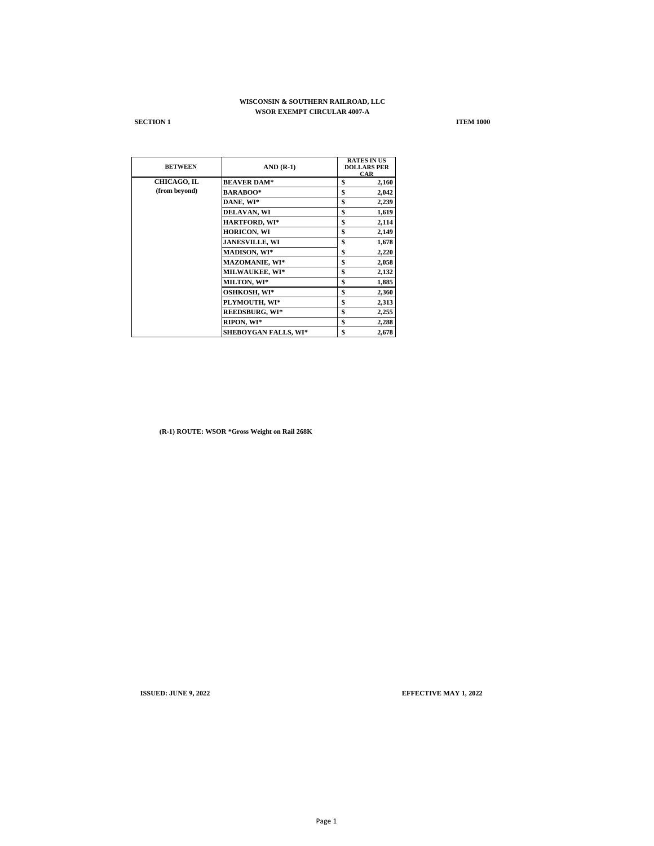# **WISCONSIN & SOUTHERN RAILROAD, LLC WSOR EXEMPT CIRCULAR 4007-A**

**SECTION 1 ITEM 1000** 

| <b>BETWEEN</b> | $AND(R-1)$                  | <b>RATES IN US</b><br><b>DOLLARS PER</b><br><b>CAR</b> |
|----------------|-----------------------------|--------------------------------------------------------|
| CHICAGO, IL    | <b>BEAVER DAM*</b>          | \$<br>2,160                                            |
| (from beyond)  | <b>BARABOO*</b>             | \$<br>2,042                                            |
|                | DANE, WI*                   | \$<br>2,239                                            |
|                | DELAVAN, WI                 | \$<br>1,619                                            |
|                | <b>HARTFORD, WI*</b>        | \$<br>2,114                                            |
|                | <b>HORICON, WI</b>          | \$<br>2,149                                            |
|                | <b>JANESVILLE, WI</b>       | \$<br>1,678                                            |
|                | <b>MADISON, WI*</b>         | \$<br>2,220                                            |
|                | <b>MAZOMANIE. WI*</b>       | \$<br>2,058                                            |
|                | <b>MILWAUKEE, WI*</b>       | \$<br>2,132                                            |
|                | <b>MILTON, WI*</b>          | \$<br>1,885                                            |
|                | OSHKOSH, WI*                | \$<br>2,360                                            |
|                | PLYMOUTH, WI*               | \$<br>2,313                                            |
|                | <b>REEDSBURG, WI*</b>       | \$<br>2,255                                            |
|                | RIPON, WI*                  | \$<br>2,288                                            |
|                | <b>SHEBOYGAN FALLS, WI*</b> | \$<br>2,678                                            |

**(R-1) ROUTE: WSOR \*Gross Weight on Rail 268K**

**ISSUED: JUNE 9, 2022 EFFECTIVE MAY 1, 2022**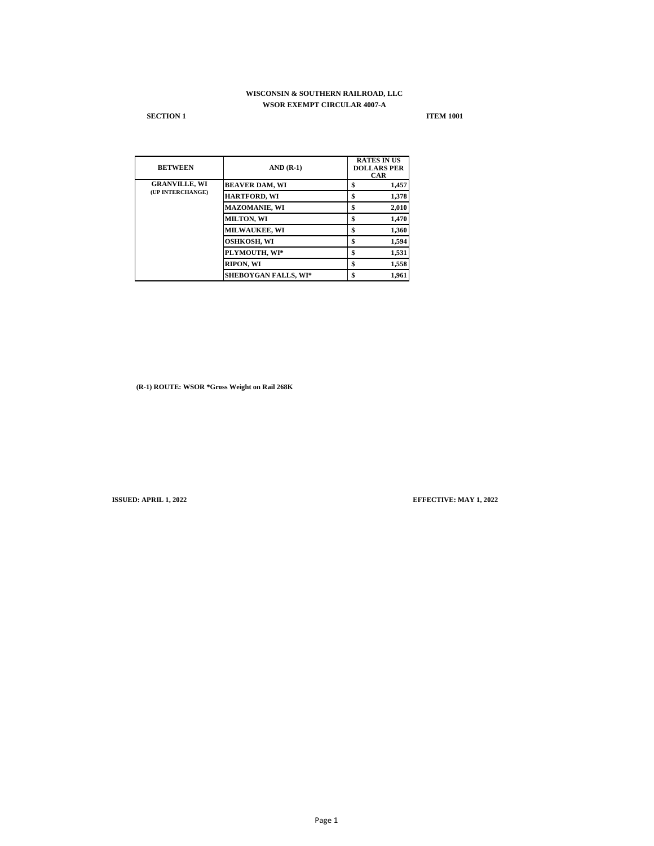# **WISCONSIN & SOUTHERN RAILROAD, LLC WSOR EXEMPT CIRCULAR 4007-A**

### **SECTION 1 ITEM 1001**

| <b>BETWEEN</b>                           | $AND(R-1)$                  | <b>RATES IN US</b><br><b>DOLLARS PER</b><br><b>CAR</b> |
|------------------------------------------|-----------------------------|--------------------------------------------------------|
| <b>GRANVILLE, WI</b><br>(UP INTERCHANGE) | <b>BEAVER DAM, WI</b>       | 1,457<br>\$                                            |
|                                          | <b>HARTFORD, WI</b>         | 1,378<br>\$                                            |
|                                          | <b>MAZOMANIE, WI</b>        | \$<br>2,010                                            |
|                                          | <b>MILTON, WI</b>           | 1,470<br>\$                                            |
|                                          | MILWAUKEE, WI               | 1,360<br>\$                                            |
|                                          | OSHKOSH, WI                 | 1,594<br>\$                                            |
|                                          | PLYMOUTH, WI*               | 1,531<br>\$                                            |
|                                          | RIPON, WI                   | 1,558<br>\$                                            |
|                                          | <b>SHEBOYGAN FALLS, WI*</b> | 1,961<br>\$                                            |

**(R-1) ROUTE: WSOR \*Gross Weight on Rail 268K**

**ISSUED: APRIL 1, 2022 EFFECTIVE: MAY 1, 2022**